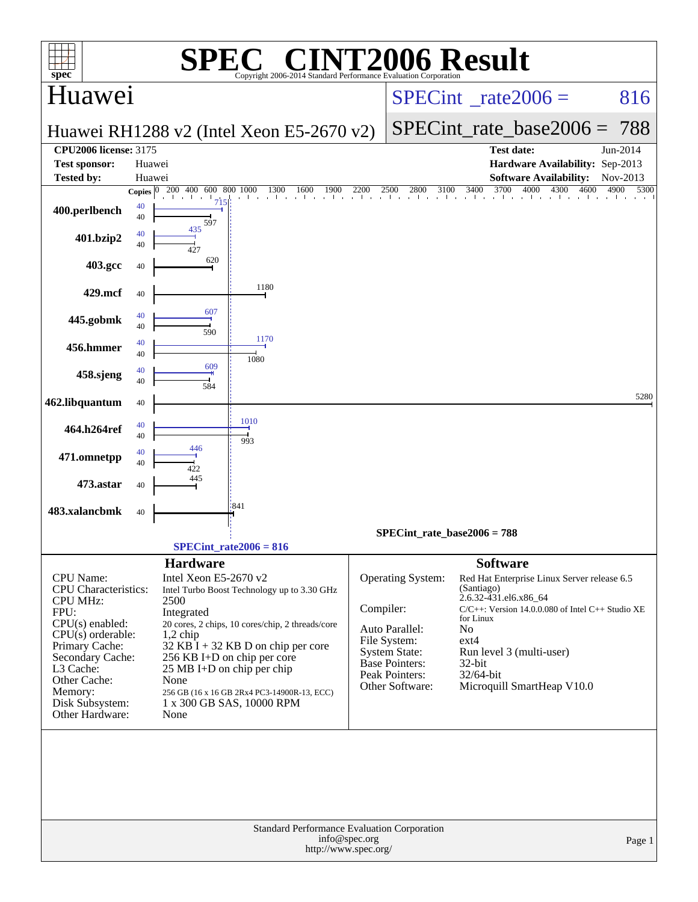|                                                             |              | SPE                                                       | $\bigcap_{\mathbb{R}}$                                          |                                                                                      |                                   | <b>INT2006 Result</b>                                                              |                      |
|-------------------------------------------------------------|--------------|-----------------------------------------------------------|-----------------------------------------------------------------|--------------------------------------------------------------------------------------|-----------------------------------|------------------------------------------------------------------------------------|----------------------|
| $spec^*$<br>Huawei                                          |              |                                                           | Copyright 2006-2014 Standard Performance Evaluation Cornoration |                                                                                      |                                   | $SPECint^{\circ}$ rate $2006 =$                                                    | 816                  |
|                                                             |              |                                                           |                                                                 |                                                                                      |                                   |                                                                                    |                      |
|                                                             |              |                                                           | Huawei RH1288 v2 (Intel Xeon E5-2670 v2)                        |                                                                                      |                                   | $SPECint_rate_base2006 =$                                                          | 788                  |
| <b>CPU2006 license: 3175</b>                                | Huawei       |                                                           |                                                                 |                                                                                      |                                   | <b>Test date:</b><br>Hardware Availability: Sep-2013                               | Jun-2014             |
| <b>Test sponsor:</b><br><b>Tested by:</b>                   | Huawei       |                                                           |                                                                 |                                                                                      |                                   | <b>Software Availability:</b>                                                      | Nov-2013             |
|                                                             | Copies $ 0 $ | 600 800 1000<br>200 400                                   | 1300<br>1600<br>and the control of the con-                     | 1900<br>2200                                                                         | 2800                              | 3400<br>3700<br>$2500$ $2800$ $3100$ $3400$ $3700$ $4000$<br>4300                  | 4600<br>4900<br>5300 |
| 400.perlbench                                               | 40<br>40     | 7 <sup>15</sup><br>597                                    |                                                                 |                                                                                      |                                   |                                                                                    |                      |
| 401.bzip2                                                   | 40<br>40     | 435                                                       |                                                                 |                                                                                      |                                   |                                                                                    |                      |
| 403.gcc                                                     | 40           | 620                                                       |                                                                 |                                                                                      |                                   |                                                                                    |                      |
| 429.mcf                                                     | 40           |                                                           | 1180                                                            |                                                                                      |                                   |                                                                                    |                      |
| 445.gobmk                                                   | 40<br>40     | 607<br>590                                                |                                                                 |                                                                                      |                                   |                                                                                    |                      |
| 456.hmmer                                                   | 40<br>40     |                                                           | 1170<br>1080                                                    |                                                                                      |                                   |                                                                                    |                      |
| 458.sjeng                                                   | 40<br>40     | 609<br>584                                                |                                                                 |                                                                                      |                                   |                                                                                    |                      |
| 462.libquantum                                              | 40           |                                                           |                                                                 |                                                                                      |                                   |                                                                                    | 5280                 |
| 464.h264ref                                                 | 40<br>40     | 446                                                       | 1010<br>993                                                     |                                                                                      |                                   |                                                                                    |                      |
| 471.omnetpp                                                 | 40<br>40     | 122                                                       |                                                                 |                                                                                      |                                   |                                                                                    |                      |
| 473.astar                                                   | 40           | 445                                                       | :841                                                            |                                                                                      |                                   |                                                                                    |                      |
| 483.xalancbmk                                               | 40           |                                                           |                                                                 |                                                                                      |                                   |                                                                                    |                      |
|                                                             |              | $SPECint_rate2006 = 816$                                  |                                                                 |                                                                                      |                                   | $SPECint_rate_base2006 = 788$                                                      |                      |
|                                                             |              | <b>Hardware</b>                                           |                                                                 |                                                                                      |                                   | <b>Software</b>                                                                    |                      |
| CPU Name:<br><b>CPU</b> Characteristics:<br><b>CPU MHz:</b> |              | Intel Xeon E5-2670 v2<br>2500                             | Intel Turbo Boost Technology up to 3.30 GHz                     |                                                                                      | Operating System:                 | Red Hat Enterprise Linux Server release 6.5<br>(Santiago)<br>2.6.32-431.el6.x86_64 |                      |
| FPU:                                                        |              | Integrated                                                |                                                                 | Compiler:                                                                            |                                   | $C/C++$ : Version 14.0.0.080 of Intel $C++$ Studio XE<br>for Linux                 |                      |
| $CPU(s)$ enabled:<br>$CPU(s)$ orderable:                    |              | $1,2$ chip                                                | 20 cores, 2 chips, 10 cores/chip, 2 threads/core                |                                                                                      | Auto Parallel:                    | N <sub>0</sub>                                                                     |                      |
| Primary Cache:                                              |              |                                                           | $32$ KB I + 32 KB D on chip per core                            |                                                                                      | File System:<br>System State:     | $ext{4}$<br>Run level 3 (multi-user)                                               |                      |
| Secondary Cache:<br>L3 Cache:                               |              | 256 KB I+D on chip per core<br>25 MB I+D on chip per chip |                                                                 |                                                                                      | <b>Base Pointers:</b>             | 32-bit                                                                             |                      |
| Other Cache:                                                |              | None                                                      |                                                                 |                                                                                      | Peak Pointers:<br>Other Software: | 32/64-bit<br>Microquill SmartHeap V10.0                                            |                      |
| Memory:<br>Disk Subsystem:                                  |              | 1 x 300 GB SAS, 10000 RPM                                 | 256 GB (16 x 16 GB 2Rx4 PC3-14900R-13, ECC)                     |                                                                                      |                                   |                                                                                    |                      |
| Other Hardware:                                             |              | None                                                      |                                                                 |                                                                                      |                                   |                                                                                    |                      |
|                                                             |              |                                                           |                                                                 |                                                                                      |                                   |                                                                                    |                      |
|                                                             |              |                                                           |                                                                 | Standard Performance Evaluation Corporation<br>info@spec.org<br>http://www.spec.org/ |                                   |                                                                                    | Page 1               |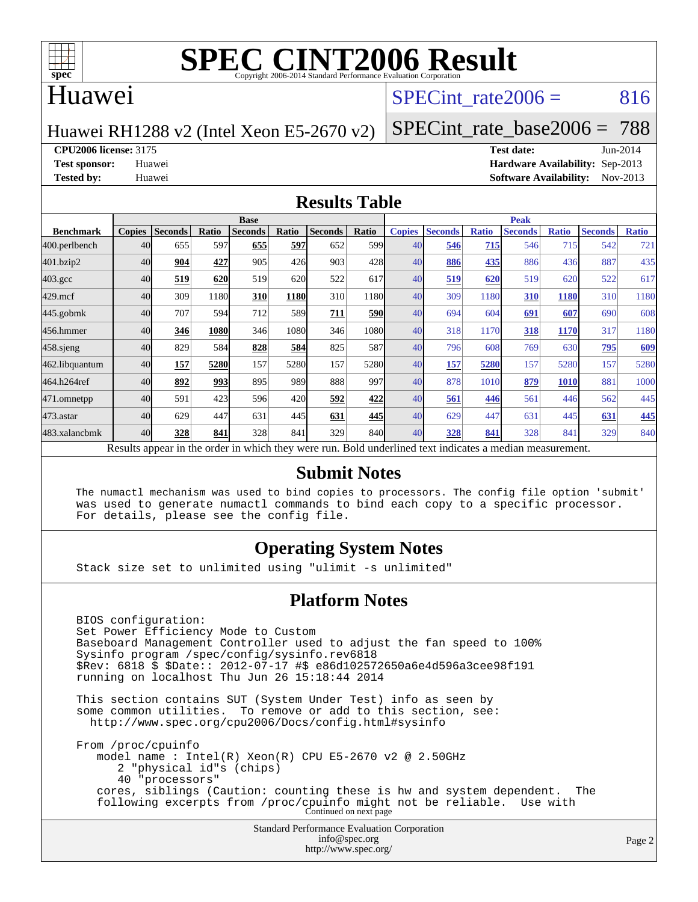

### Huawei

## SPECint rate $2006 = 816$

Huawei RH1288 v2 (Intel Xeon E5-2670 v2)

[SPECint\\_rate\\_base2006 =](http://www.spec.org/auto/cpu2006/Docs/result-fields.html#SPECintratebase2006) 788

**[CPU2006 license:](http://www.spec.org/auto/cpu2006/Docs/result-fields.html#CPU2006license)** 3175 **[Test date:](http://www.spec.org/auto/cpu2006/Docs/result-fields.html#Testdate)** Jun-2014

**[Test sponsor:](http://www.spec.org/auto/cpu2006/Docs/result-fields.html#Testsponsor)** Huawei **[Hardware Availability:](http://www.spec.org/auto/cpu2006/Docs/result-fields.html#HardwareAvailability)** Sep-2013 **[Tested by:](http://www.spec.org/auto/cpu2006/Docs/result-fields.html#Testedby)** Huawei **[Software Availability:](http://www.spec.org/auto/cpu2006/Docs/result-fields.html#SoftwareAvailability)** Nov-2013

#### **[Results Table](http://www.spec.org/auto/cpu2006/Docs/result-fields.html#ResultsTable)**

|                                                                                                          | <b>Base</b>   |                |       |                |       |                |                  | <b>Peak</b>   |                |              |                |              |                |              |
|----------------------------------------------------------------------------------------------------------|---------------|----------------|-------|----------------|-------|----------------|------------------|---------------|----------------|--------------|----------------|--------------|----------------|--------------|
| <b>Benchmark</b>                                                                                         | <b>Copies</b> | <b>Seconds</b> | Ratio | <b>Seconds</b> | Ratio | <b>Seconds</b> | Ratio            | <b>Copies</b> | <b>Seconds</b> | <b>Ratio</b> | <b>Seconds</b> | <b>Ratio</b> | <b>Seconds</b> | <b>Ratio</b> |
| 400.perlbench                                                                                            | 40            | 655            | 597   | 655            | 597   | 652            | 599 <sub>l</sub> | 40            | 546            | 715          | 546            | 715          | 542            | 721          |
| 401.bzip2                                                                                                | 40            | 904            | 427   | 905            | 426   | 903            | 428              | 40            | 886            | 435          | 886            | 436          | 887            | 435          |
| $403.\text{gcc}$                                                                                         | 40            | 519            | 620   | 519            | 620   | 522            | 617              | 40            | 519            | 620          | 519            | 620          | 522            | 617          |
| $429$ .mcf                                                                                               | 40            | 309            | 1180  | 310            | 1180  | 310            | 1180             | 40            | 309            | 1180         | 310            | 1180         | 310            | 1180         |
| $445$ .gobmk                                                                                             | 40            | 707            | 594   | 712            | 589   | 711            | 590              | 40            | 694            | 604          | 691            | 607          | 690            | 608          |
| 456.hmmer                                                                                                | 40            | 346            | 1080  | 346            | 1080  | 346            | 1080             | 40            | 318            | 1170         | 318            | <b>1170</b>  | 317            | 1180         |
| $458$ .sjeng                                                                                             | 40            | 829            | 584   | 828            | 584   | 825            | 587              | 40            | 796            | 608          | 769            | 630          | 795            | 609          |
| 462.libquantum                                                                                           | 40            | 157            | 5280  | 157            | 5280  | 157            | 5280             | 40            | 157            | 5280         | 157            | 5280         | 157            | 5280         |
| 464.h264ref                                                                                              | 40            | 892            | 993   | 895            | 989   | 888            | 997              | 40            | 878            | 1010         | 879            | <b>1010</b>  | 881            | 1000         |
| 471.omnetpp                                                                                              | 40            | 591            | 423   | 596            | 420   | 592            | 422              | 40            | 561            | 446          | 561            | 446          | 562            | 445          |
| $473$ . astar                                                                                            | 40            | 629            | 447   | 631            | 445   | 631            | 445              | 40            | 629            | 447          | 631            | 445          | 631            | 445          |
| 483.xalancbmk                                                                                            | 40            | 328            | 841   | 328            | 841   | 329            | 840              | 40            | 328            | 841          | 328            | 841          | 329            | 840          |
| Results appear in the order in which they were run. Bold underlined text indicates a median measurement. |               |                |       |                |       |                |                  |               |                |              |                |              |                |              |

#### **[Submit Notes](http://www.spec.org/auto/cpu2006/Docs/result-fields.html#SubmitNotes)**

 The numactl mechanism was used to bind copies to processors. The config file option 'submit' was used to generate numactl commands to bind each copy to a specific processor. For details, please see the config file.

### **[Operating System Notes](http://www.spec.org/auto/cpu2006/Docs/result-fields.html#OperatingSystemNotes)**

Stack size set to unlimited using "ulimit -s unlimited"

#### **[Platform Notes](http://www.spec.org/auto/cpu2006/Docs/result-fields.html#PlatformNotes)**

 BIOS configuration: Set Power Efficiency Mode to Custom Baseboard Management Controller used to adjust the fan speed to 100% Sysinfo program /spec/config/sysinfo.rev6818 \$Rev: 6818 \$ \$Date:: 2012-07-17 #\$ e86d102572650a6e4d596a3cee98f191 running on localhost Thu Jun 26 15:18:44 2014 This section contains SUT (System Under Test) info as seen by some common utilities. To remove or add to this section, see: <http://www.spec.org/cpu2006/Docs/config.html#sysinfo>

 From /proc/cpuinfo model name : Intel(R) Xeon(R) CPU E5-2670 v2 @ 2.50GHz 2 "physical id"s (chips) 40 "processors" cores, siblings (Caution: counting these is hw and system dependent. The following excerpts from /proc/cpuinfo might not be reliable. Use with Continued on next page

> Standard Performance Evaluation Corporation [info@spec.org](mailto:info@spec.org) <http://www.spec.org/>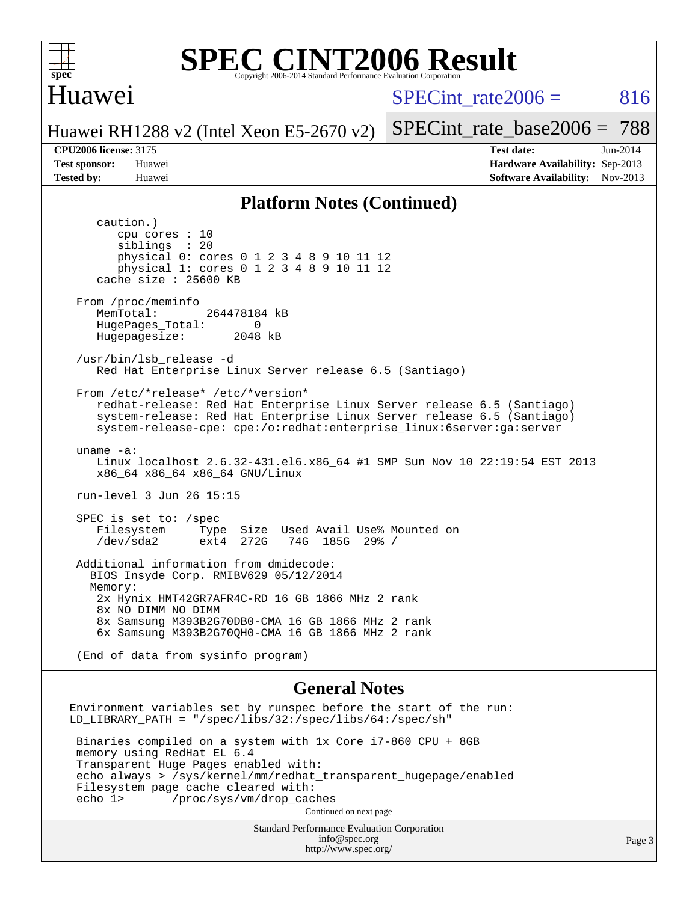

### **[SPEC CINT2006 Result](http://www.spec.org/auto/cpu2006/Docs/result-fields.html#SPECCINT2006Result)** Copyright 2006-2014 Standard Performance Evaluation C

## Huawei

 $SPECint rate2006 = 816$ 

[SPECint\\_rate\\_base2006 =](http://www.spec.org/auto/cpu2006/Docs/result-fields.html#SPECintratebase2006) 788

Huawei RH1288 v2 (Intel Xeon E5-2670 v2)

**[CPU2006 license:](http://www.spec.org/auto/cpu2006/Docs/result-fields.html#CPU2006license)** 3175 **[Test date:](http://www.spec.org/auto/cpu2006/Docs/result-fields.html#Testdate)** Jun-2014 **[Test sponsor:](http://www.spec.org/auto/cpu2006/Docs/result-fields.html#Testsponsor)** Huawei **[Hardware Availability:](http://www.spec.org/auto/cpu2006/Docs/result-fields.html#HardwareAvailability)** Sep-2013 **[Tested by:](http://www.spec.org/auto/cpu2006/Docs/result-fields.html#Testedby)** Huawei **[Software Availability:](http://www.spec.org/auto/cpu2006/Docs/result-fields.html#SoftwareAvailability)** Nov-2013

#### **[Platform Notes \(Continued\)](http://www.spec.org/auto/cpu2006/Docs/result-fields.html#PlatformNotes)**

 caution.) cpu cores : 10 siblings : 20 physical 0: cores 0 1 2 3 4 8 9 10 11 12 physical 1: cores 0 1 2 3 4 8 9 10 11 12 cache size : 25600 KB From /proc/meminfo MemTotal: 264478184 kB HugePages\_Total: 0<br>Hugepagesize: 2048 kB Hugepagesize: /usr/bin/lsb\_release -d Red Hat Enterprise Linux Server release 6.5 (Santiago) From /etc/\*release\* /etc/\*version\* redhat-release: Red Hat Enterprise Linux Server release 6.5 (Santiago) system-release: Red Hat Enterprise Linux Server release 6.5 (Santiago) system-release-cpe: cpe:/o:redhat:enterprise\_linux:6server:ga:server uname -a: Linux localhost 2.6.32-431.el6.x86\_64 #1 SMP Sun Nov 10 22:19:54 EST 2013 x86\_64 x86\_64 x86\_64 GNU/Linux run-level 3 Jun 26 15:15 SPEC is set to: /spec<br>Filesystem Type Filesystem Type Size Used Avail Use% Mounted on<br>
/dev/sda2 ext4 272G 74G 185G 29% / 74G 185G 29% / Additional information from dmidecode: BIOS Insyde Corp. RMIBV629 05/12/2014 Memory: 2x Hynix HMT42GR7AFR4C-RD 16 GB 1866 MHz 2 rank 8x NO DIMM NO DIMM 8x Samsung M393B2G70DB0-CMA 16 GB 1866 MHz 2 rank 6x Samsung M393B2G70QH0-CMA 16 GB 1866 MHz 2 rank (End of data from sysinfo program)

#### **[General Notes](http://www.spec.org/auto/cpu2006/Docs/result-fields.html#GeneralNotes)**

Environment variables set by runspec before the start of the run: LD\_LIBRARY\_PATH = "/spec/libs/32:/spec/libs/64:/spec/sh" Binaries compiled on a system with 1x Core i7-860 CPU + 8GB memory using RedHat EL 6.4 Transparent Huge Pages enabled with: echo always > /sys/kernel/mm/redhat\_transparent\_hugepage/enabled Filesystem page cache cleared with: echo 1> /proc/sys/vm/drop\_caches Continued on next page

> Standard Performance Evaluation Corporation [info@spec.org](mailto:info@spec.org) <http://www.spec.org/>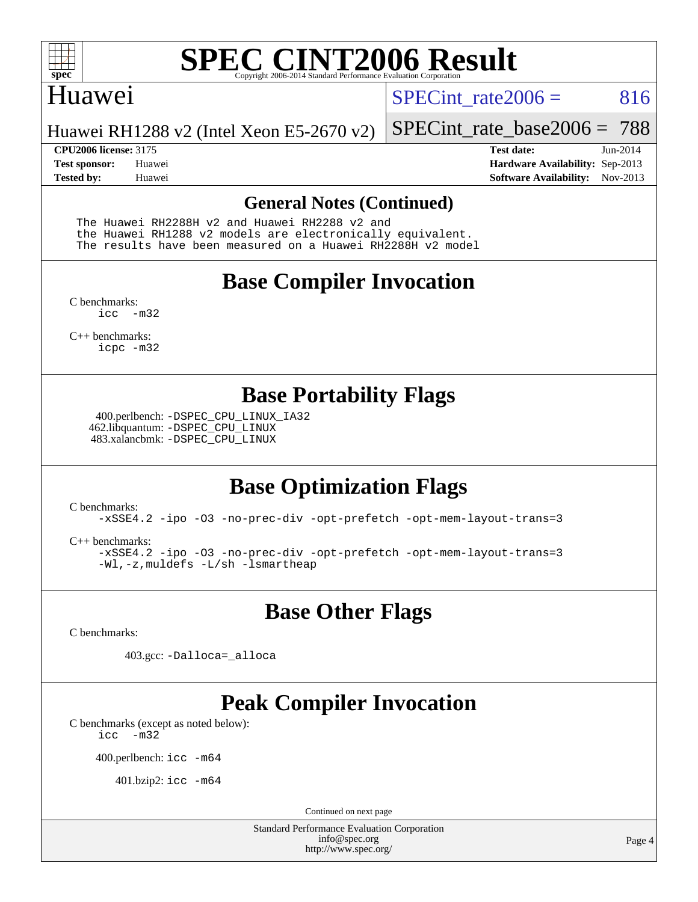

### Huawei

SPECint rate $2006 = 816$ 

[SPECint\\_rate\\_base2006 =](http://www.spec.org/auto/cpu2006/Docs/result-fields.html#SPECintratebase2006) 788

Huawei RH1288 v2 (Intel Xeon E5-2670 v2)

**[CPU2006 license:](http://www.spec.org/auto/cpu2006/Docs/result-fields.html#CPU2006license)** 3175 **[Test date:](http://www.spec.org/auto/cpu2006/Docs/result-fields.html#Testdate)** Jun-2014 **[Test sponsor:](http://www.spec.org/auto/cpu2006/Docs/result-fields.html#Testsponsor)** Huawei **[Hardware Availability:](http://www.spec.org/auto/cpu2006/Docs/result-fields.html#HardwareAvailability)** Sep-2013 **[Tested by:](http://www.spec.org/auto/cpu2006/Docs/result-fields.html#Testedby)** Huawei **[Software Availability:](http://www.spec.org/auto/cpu2006/Docs/result-fields.html#SoftwareAvailability)** Nov-2013

### **[General Notes \(Continued\)](http://www.spec.org/auto/cpu2006/Docs/result-fields.html#GeneralNotes)**

 The Huawei RH2288H v2 and Huawei RH2288 v2 and the Huawei RH1288 v2 models are electronically equivalent. The results have been measured on a Huawei RH2288H v2 model

## **[Base Compiler Invocation](http://www.spec.org/auto/cpu2006/Docs/result-fields.html#BaseCompilerInvocation)**

[C benchmarks](http://www.spec.org/auto/cpu2006/Docs/result-fields.html#Cbenchmarks): [icc -m32](http://www.spec.org/cpu2006/results/res2014q3/cpu2006-20140628-30052.flags.html#user_CCbase_intel_icc_5ff4a39e364c98233615fdd38438c6f2)

[C++ benchmarks:](http://www.spec.org/auto/cpu2006/Docs/result-fields.html#CXXbenchmarks) [icpc -m32](http://www.spec.org/cpu2006/results/res2014q3/cpu2006-20140628-30052.flags.html#user_CXXbase_intel_icpc_4e5a5ef1a53fd332b3c49e69c3330699)

## **[Base Portability Flags](http://www.spec.org/auto/cpu2006/Docs/result-fields.html#BasePortabilityFlags)**

 400.perlbench: [-DSPEC\\_CPU\\_LINUX\\_IA32](http://www.spec.org/cpu2006/results/res2014q3/cpu2006-20140628-30052.flags.html#b400.perlbench_baseCPORTABILITY_DSPEC_CPU_LINUX_IA32) 462.libquantum: [-DSPEC\\_CPU\\_LINUX](http://www.spec.org/cpu2006/results/res2014q3/cpu2006-20140628-30052.flags.html#b462.libquantum_baseCPORTABILITY_DSPEC_CPU_LINUX) 483.xalancbmk: [-DSPEC\\_CPU\\_LINUX](http://www.spec.org/cpu2006/results/res2014q3/cpu2006-20140628-30052.flags.html#b483.xalancbmk_baseCXXPORTABILITY_DSPEC_CPU_LINUX)

# **[Base Optimization Flags](http://www.spec.org/auto/cpu2006/Docs/result-fields.html#BaseOptimizationFlags)**

[C benchmarks](http://www.spec.org/auto/cpu2006/Docs/result-fields.html#Cbenchmarks):

[-xSSE4.2](http://www.spec.org/cpu2006/results/res2014q3/cpu2006-20140628-30052.flags.html#user_CCbase_f-xSSE42_f91528193cf0b216347adb8b939d4107) [-ipo](http://www.spec.org/cpu2006/results/res2014q3/cpu2006-20140628-30052.flags.html#user_CCbase_f-ipo) [-O3](http://www.spec.org/cpu2006/results/res2014q3/cpu2006-20140628-30052.flags.html#user_CCbase_f-O3) [-no-prec-div](http://www.spec.org/cpu2006/results/res2014q3/cpu2006-20140628-30052.flags.html#user_CCbase_f-no-prec-div) [-opt-prefetch](http://www.spec.org/cpu2006/results/res2014q3/cpu2006-20140628-30052.flags.html#user_CCbase_f-opt-prefetch) [-opt-mem-layout-trans=3](http://www.spec.org/cpu2006/results/res2014q3/cpu2006-20140628-30052.flags.html#user_CCbase_f-opt-mem-layout-trans_a7b82ad4bd7abf52556d4961a2ae94d5)

[C++ benchmarks:](http://www.spec.org/auto/cpu2006/Docs/result-fields.html#CXXbenchmarks)

[-xSSE4.2](http://www.spec.org/cpu2006/results/res2014q3/cpu2006-20140628-30052.flags.html#user_CXXbase_f-xSSE42_f91528193cf0b216347adb8b939d4107) [-ipo](http://www.spec.org/cpu2006/results/res2014q3/cpu2006-20140628-30052.flags.html#user_CXXbase_f-ipo) [-O3](http://www.spec.org/cpu2006/results/res2014q3/cpu2006-20140628-30052.flags.html#user_CXXbase_f-O3) [-no-prec-div](http://www.spec.org/cpu2006/results/res2014q3/cpu2006-20140628-30052.flags.html#user_CXXbase_f-no-prec-div) [-opt-prefetch](http://www.spec.org/cpu2006/results/res2014q3/cpu2006-20140628-30052.flags.html#user_CXXbase_f-opt-prefetch) [-opt-mem-layout-trans=3](http://www.spec.org/cpu2006/results/res2014q3/cpu2006-20140628-30052.flags.html#user_CXXbase_f-opt-mem-layout-trans_a7b82ad4bd7abf52556d4961a2ae94d5) [-Wl,-z,muldefs](http://www.spec.org/cpu2006/results/res2014q3/cpu2006-20140628-30052.flags.html#user_CXXbase_link_force_multiple1_74079c344b956b9658436fd1b6dd3a8a) [-L/sh -lsmartheap](http://www.spec.org/cpu2006/results/res2014q3/cpu2006-20140628-30052.flags.html#user_CXXbase_SmartHeap_32f6c82aa1ed9c52345d30cf6e4a0499)

**[Base Other Flags](http://www.spec.org/auto/cpu2006/Docs/result-fields.html#BaseOtherFlags)**

[C benchmarks](http://www.spec.org/auto/cpu2006/Docs/result-fields.html#Cbenchmarks):

403.gcc: [-Dalloca=\\_alloca](http://www.spec.org/cpu2006/results/res2014q3/cpu2006-20140628-30052.flags.html#b403.gcc_baseEXTRA_CFLAGS_Dalloca_be3056838c12de2578596ca5467af7f3)

# **[Peak Compiler Invocation](http://www.spec.org/auto/cpu2006/Docs/result-fields.html#PeakCompilerInvocation)**

[C benchmarks \(except as noted below\)](http://www.spec.org/auto/cpu2006/Docs/result-fields.html#Cbenchmarksexceptasnotedbelow): [icc -m32](http://www.spec.org/cpu2006/results/res2014q3/cpu2006-20140628-30052.flags.html#user_CCpeak_intel_icc_5ff4a39e364c98233615fdd38438c6f2)

400.perlbench: [icc -m64](http://www.spec.org/cpu2006/results/res2014q3/cpu2006-20140628-30052.flags.html#user_peakCCLD400_perlbench_intel_icc_64bit_bda6cc9af1fdbb0edc3795bac97ada53)

401.bzip2: [icc -m64](http://www.spec.org/cpu2006/results/res2014q3/cpu2006-20140628-30052.flags.html#user_peakCCLD401_bzip2_intel_icc_64bit_bda6cc9af1fdbb0edc3795bac97ada53)

Continued on next page

Standard Performance Evaluation Corporation [info@spec.org](mailto:info@spec.org) <http://www.spec.org/>

Page 4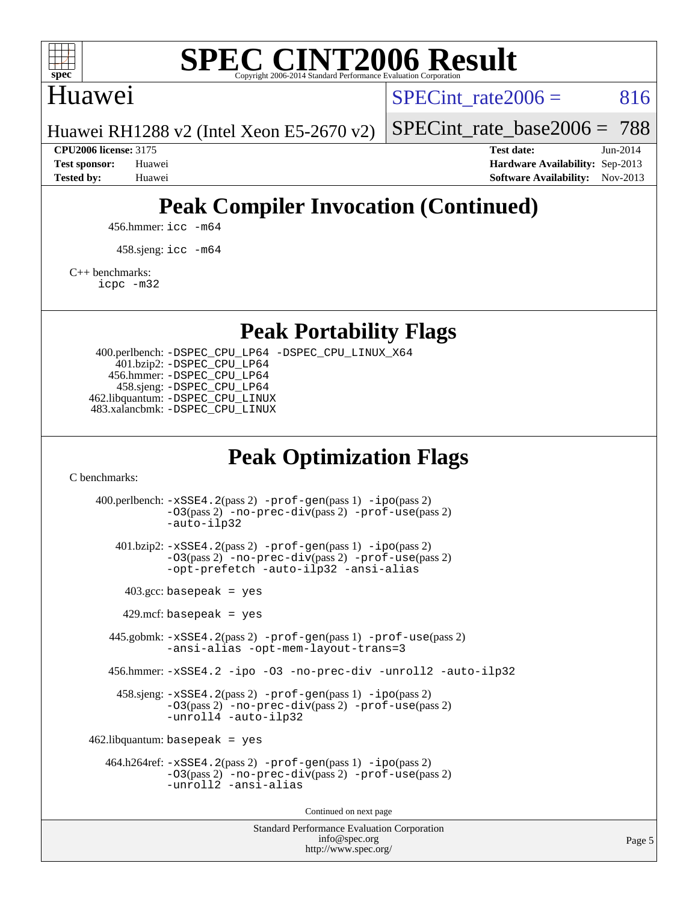

## Huawei

SPECint rate $2006 = 816$ 

Huawei RH1288 v2 (Intel Xeon E5-2670 v2)

[SPECint\\_rate\\_base2006 =](http://www.spec.org/auto/cpu2006/Docs/result-fields.html#SPECintratebase2006) 788

**[CPU2006 license:](http://www.spec.org/auto/cpu2006/Docs/result-fields.html#CPU2006license)** 3175 **[Test date:](http://www.spec.org/auto/cpu2006/Docs/result-fields.html#Testdate)** Jun-2014 **[Test sponsor:](http://www.spec.org/auto/cpu2006/Docs/result-fields.html#Testsponsor)** Huawei **[Hardware Availability:](http://www.spec.org/auto/cpu2006/Docs/result-fields.html#HardwareAvailability)** Sep-2013 **[Tested by:](http://www.spec.org/auto/cpu2006/Docs/result-fields.html#Testedby)** Huawei **[Software Availability:](http://www.spec.org/auto/cpu2006/Docs/result-fields.html#SoftwareAvailability)** Nov-2013

# **[Peak Compiler Invocation \(Continued\)](http://www.spec.org/auto/cpu2006/Docs/result-fields.html#PeakCompilerInvocation)**

456.hmmer: [icc -m64](http://www.spec.org/cpu2006/results/res2014q3/cpu2006-20140628-30052.flags.html#user_peakCCLD456_hmmer_intel_icc_64bit_bda6cc9af1fdbb0edc3795bac97ada53)

458.sjeng: [icc -m64](http://www.spec.org/cpu2006/results/res2014q3/cpu2006-20140628-30052.flags.html#user_peakCCLD458_sjeng_intel_icc_64bit_bda6cc9af1fdbb0edc3795bac97ada53)

[C++ benchmarks:](http://www.spec.org/auto/cpu2006/Docs/result-fields.html#CXXbenchmarks)

[icpc -m32](http://www.spec.org/cpu2006/results/res2014q3/cpu2006-20140628-30052.flags.html#user_CXXpeak_intel_icpc_4e5a5ef1a53fd332b3c49e69c3330699)

**[Peak Portability Flags](http://www.spec.org/auto/cpu2006/Docs/result-fields.html#PeakPortabilityFlags)**

 400.perlbench: [-DSPEC\\_CPU\\_LP64](http://www.spec.org/cpu2006/results/res2014q3/cpu2006-20140628-30052.flags.html#b400.perlbench_peakCPORTABILITY_DSPEC_CPU_LP64) [-DSPEC\\_CPU\\_LINUX\\_X64](http://www.spec.org/cpu2006/results/res2014q3/cpu2006-20140628-30052.flags.html#b400.perlbench_peakCPORTABILITY_DSPEC_CPU_LINUX_X64) 401.bzip2: [-DSPEC\\_CPU\\_LP64](http://www.spec.org/cpu2006/results/res2014q3/cpu2006-20140628-30052.flags.html#suite_peakCPORTABILITY401_bzip2_DSPEC_CPU_LP64) 456.hmmer: [-DSPEC\\_CPU\\_LP64](http://www.spec.org/cpu2006/results/res2014q3/cpu2006-20140628-30052.flags.html#suite_peakCPORTABILITY456_hmmer_DSPEC_CPU_LP64) 458.sjeng: [-DSPEC\\_CPU\\_LP64](http://www.spec.org/cpu2006/results/res2014q3/cpu2006-20140628-30052.flags.html#suite_peakCPORTABILITY458_sjeng_DSPEC_CPU_LP64) 462.libquantum: [-DSPEC\\_CPU\\_LINUX](http://www.spec.org/cpu2006/results/res2014q3/cpu2006-20140628-30052.flags.html#b462.libquantum_peakCPORTABILITY_DSPEC_CPU_LINUX) 483.xalancbmk: [-DSPEC\\_CPU\\_LINUX](http://www.spec.org/cpu2006/results/res2014q3/cpu2006-20140628-30052.flags.html#b483.xalancbmk_peakCXXPORTABILITY_DSPEC_CPU_LINUX)

## **[Peak Optimization Flags](http://www.spec.org/auto/cpu2006/Docs/result-fields.html#PeakOptimizationFlags)**

[C benchmarks](http://www.spec.org/auto/cpu2006/Docs/result-fields.html#Cbenchmarks):

Standard Performance Evaluation Corporation 400.perlbench: [-xSSE4.2](http://www.spec.org/cpu2006/results/res2014q3/cpu2006-20140628-30052.flags.html#user_peakPASS2_CFLAGSPASS2_LDCFLAGS400_perlbench_f-xSSE42_f91528193cf0b216347adb8b939d4107)(pass 2) [-prof-gen](http://www.spec.org/cpu2006/results/res2014q3/cpu2006-20140628-30052.flags.html#user_peakPASS1_CFLAGSPASS1_LDCFLAGS400_perlbench_prof_gen_e43856698f6ca7b7e442dfd80e94a8fc)(pass 1) [-ipo](http://www.spec.org/cpu2006/results/res2014q3/cpu2006-20140628-30052.flags.html#user_peakPASS2_CFLAGSPASS2_LDCFLAGS400_perlbench_f-ipo)(pass 2) [-O3](http://www.spec.org/cpu2006/results/res2014q3/cpu2006-20140628-30052.flags.html#user_peakPASS2_CFLAGSPASS2_LDCFLAGS400_perlbench_f-O3)(pass 2) [-no-prec-div](http://www.spec.org/cpu2006/results/res2014q3/cpu2006-20140628-30052.flags.html#user_peakPASS2_CFLAGSPASS2_LDCFLAGS400_perlbench_f-no-prec-div)(pass 2) [-prof-use](http://www.spec.org/cpu2006/results/res2014q3/cpu2006-20140628-30052.flags.html#user_peakPASS2_CFLAGSPASS2_LDCFLAGS400_perlbench_prof_use_bccf7792157ff70d64e32fe3e1250b55)(pass 2) [-auto-ilp32](http://www.spec.org/cpu2006/results/res2014q3/cpu2006-20140628-30052.flags.html#user_peakCOPTIMIZE400_perlbench_f-auto-ilp32) 401.bzip2: [-xSSE4.2](http://www.spec.org/cpu2006/results/res2014q3/cpu2006-20140628-30052.flags.html#user_peakPASS2_CFLAGSPASS2_LDCFLAGS401_bzip2_f-xSSE42_f91528193cf0b216347adb8b939d4107)(pass 2) [-prof-gen](http://www.spec.org/cpu2006/results/res2014q3/cpu2006-20140628-30052.flags.html#user_peakPASS1_CFLAGSPASS1_LDCFLAGS401_bzip2_prof_gen_e43856698f6ca7b7e442dfd80e94a8fc)(pass 1) [-ipo](http://www.spec.org/cpu2006/results/res2014q3/cpu2006-20140628-30052.flags.html#user_peakPASS2_CFLAGSPASS2_LDCFLAGS401_bzip2_f-ipo)(pass 2) [-O3](http://www.spec.org/cpu2006/results/res2014q3/cpu2006-20140628-30052.flags.html#user_peakPASS2_CFLAGSPASS2_LDCFLAGS401_bzip2_f-O3)(pass 2) [-no-prec-div](http://www.spec.org/cpu2006/results/res2014q3/cpu2006-20140628-30052.flags.html#user_peakPASS2_CFLAGSPASS2_LDCFLAGS401_bzip2_f-no-prec-div)(pass 2) [-prof-use](http://www.spec.org/cpu2006/results/res2014q3/cpu2006-20140628-30052.flags.html#user_peakPASS2_CFLAGSPASS2_LDCFLAGS401_bzip2_prof_use_bccf7792157ff70d64e32fe3e1250b55)(pass 2) [-opt-prefetch](http://www.spec.org/cpu2006/results/res2014q3/cpu2006-20140628-30052.flags.html#user_peakCOPTIMIZE401_bzip2_f-opt-prefetch) [-auto-ilp32](http://www.spec.org/cpu2006/results/res2014q3/cpu2006-20140628-30052.flags.html#user_peakCOPTIMIZE401_bzip2_f-auto-ilp32) [-ansi-alias](http://www.spec.org/cpu2006/results/res2014q3/cpu2006-20140628-30052.flags.html#user_peakCOPTIMIZE401_bzip2_f-ansi-alias)  $403.\text{gcc: basepeak}$  = yes  $429$ .mcf: basepeak = yes 445.gobmk: [-xSSE4.2](http://www.spec.org/cpu2006/results/res2014q3/cpu2006-20140628-30052.flags.html#user_peakPASS2_CFLAGSPASS2_LDCFLAGS445_gobmk_f-xSSE42_f91528193cf0b216347adb8b939d4107)(pass 2) [-prof-gen](http://www.spec.org/cpu2006/results/res2014q3/cpu2006-20140628-30052.flags.html#user_peakPASS1_CFLAGSPASS1_LDCFLAGS445_gobmk_prof_gen_e43856698f6ca7b7e442dfd80e94a8fc)(pass 1) [-prof-use](http://www.spec.org/cpu2006/results/res2014q3/cpu2006-20140628-30052.flags.html#user_peakPASS2_CFLAGSPASS2_LDCFLAGS445_gobmk_prof_use_bccf7792157ff70d64e32fe3e1250b55)(pass 2) [-ansi-alias](http://www.spec.org/cpu2006/results/res2014q3/cpu2006-20140628-30052.flags.html#user_peakCOPTIMIZE445_gobmk_f-ansi-alias) [-opt-mem-layout-trans=3](http://www.spec.org/cpu2006/results/res2014q3/cpu2006-20140628-30052.flags.html#user_peakCOPTIMIZE445_gobmk_f-opt-mem-layout-trans_a7b82ad4bd7abf52556d4961a2ae94d5) 456.hmmer: [-xSSE4.2](http://www.spec.org/cpu2006/results/res2014q3/cpu2006-20140628-30052.flags.html#user_peakCOPTIMIZE456_hmmer_f-xSSE42_f91528193cf0b216347adb8b939d4107) [-ipo](http://www.spec.org/cpu2006/results/res2014q3/cpu2006-20140628-30052.flags.html#user_peakCOPTIMIZE456_hmmer_f-ipo) [-O3](http://www.spec.org/cpu2006/results/res2014q3/cpu2006-20140628-30052.flags.html#user_peakCOPTIMIZE456_hmmer_f-O3) [-no-prec-div](http://www.spec.org/cpu2006/results/res2014q3/cpu2006-20140628-30052.flags.html#user_peakCOPTIMIZE456_hmmer_f-no-prec-div) [-unroll2](http://www.spec.org/cpu2006/results/res2014q3/cpu2006-20140628-30052.flags.html#user_peakCOPTIMIZE456_hmmer_f-unroll_784dae83bebfb236979b41d2422d7ec2) [-auto-ilp32](http://www.spec.org/cpu2006/results/res2014q3/cpu2006-20140628-30052.flags.html#user_peakCOPTIMIZE456_hmmer_f-auto-ilp32) 458.sjeng: [-xSSE4.2](http://www.spec.org/cpu2006/results/res2014q3/cpu2006-20140628-30052.flags.html#user_peakPASS2_CFLAGSPASS2_LDCFLAGS458_sjeng_f-xSSE42_f91528193cf0b216347adb8b939d4107)(pass 2) [-prof-gen](http://www.spec.org/cpu2006/results/res2014q3/cpu2006-20140628-30052.flags.html#user_peakPASS1_CFLAGSPASS1_LDCFLAGS458_sjeng_prof_gen_e43856698f6ca7b7e442dfd80e94a8fc)(pass 1) [-ipo](http://www.spec.org/cpu2006/results/res2014q3/cpu2006-20140628-30052.flags.html#user_peakPASS2_CFLAGSPASS2_LDCFLAGS458_sjeng_f-ipo)(pass 2) [-O3](http://www.spec.org/cpu2006/results/res2014q3/cpu2006-20140628-30052.flags.html#user_peakPASS2_CFLAGSPASS2_LDCFLAGS458_sjeng_f-O3)(pass 2) [-no-prec-div](http://www.spec.org/cpu2006/results/res2014q3/cpu2006-20140628-30052.flags.html#user_peakPASS2_CFLAGSPASS2_LDCFLAGS458_sjeng_f-no-prec-div)(pass 2) [-prof-use](http://www.spec.org/cpu2006/results/res2014q3/cpu2006-20140628-30052.flags.html#user_peakPASS2_CFLAGSPASS2_LDCFLAGS458_sjeng_prof_use_bccf7792157ff70d64e32fe3e1250b55)(pass 2) [-unroll4](http://www.spec.org/cpu2006/results/res2014q3/cpu2006-20140628-30052.flags.html#user_peakCOPTIMIZE458_sjeng_f-unroll_4e5e4ed65b7fd20bdcd365bec371b81f) [-auto-ilp32](http://www.spec.org/cpu2006/results/res2014q3/cpu2006-20140628-30052.flags.html#user_peakCOPTIMIZE458_sjeng_f-auto-ilp32)  $462$ .libquantum: basepeak = yes 464.h264ref: [-xSSE4.2](http://www.spec.org/cpu2006/results/res2014q3/cpu2006-20140628-30052.flags.html#user_peakPASS2_CFLAGSPASS2_LDCFLAGS464_h264ref_f-xSSE42_f91528193cf0b216347adb8b939d4107)(pass 2) [-prof-gen](http://www.spec.org/cpu2006/results/res2014q3/cpu2006-20140628-30052.flags.html#user_peakPASS1_CFLAGSPASS1_LDCFLAGS464_h264ref_prof_gen_e43856698f6ca7b7e442dfd80e94a8fc)(pass 1) [-ipo](http://www.spec.org/cpu2006/results/res2014q3/cpu2006-20140628-30052.flags.html#user_peakPASS2_CFLAGSPASS2_LDCFLAGS464_h264ref_f-ipo)(pass 2) [-O3](http://www.spec.org/cpu2006/results/res2014q3/cpu2006-20140628-30052.flags.html#user_peakPASS2_CFLAGSPASS2_LDCFLAGS464_h264ref_f-O3)(pass 2) [-no-prec-div](http://www.spec.org/cpu2006/results/res2014q3/cpu2006-20140628-30052.flags.html#user_peakPASS2_CFLAGSPASS2_LDCFLAGS464_h264ref_f-no-prec-div)(pass 2) [-prof-use](http://www.spec.org/cpu2006/results/res2014q3/cpu2006-20140628-30052.flags.html#user_peakPASS2_CFLAGSPASS2_LDCFLAGS464_h264ref_prof_use_bccf7792157ff70d64e32fe3e1250b55)(pass 2) [-unroll2](http://www.spec.org/cpu2006/results/res2014q3/cpu2006-20140628-30052.flags.html#user_peakCOPTIMIZE464_h264ref_f-unroll_784dae83bebfb236979b41d2422d7ec2) [-ansi-alias](http://www.spec.org/cpu2006/results/res2014q3/cpu2006-20140628-30052.flags.html#user_peakCOPTIMIZE464_h264ref_f-ansi-alias) Continued on next page

[info@spec.org](mailto:info@spec.org) <http://www.spec.org/>